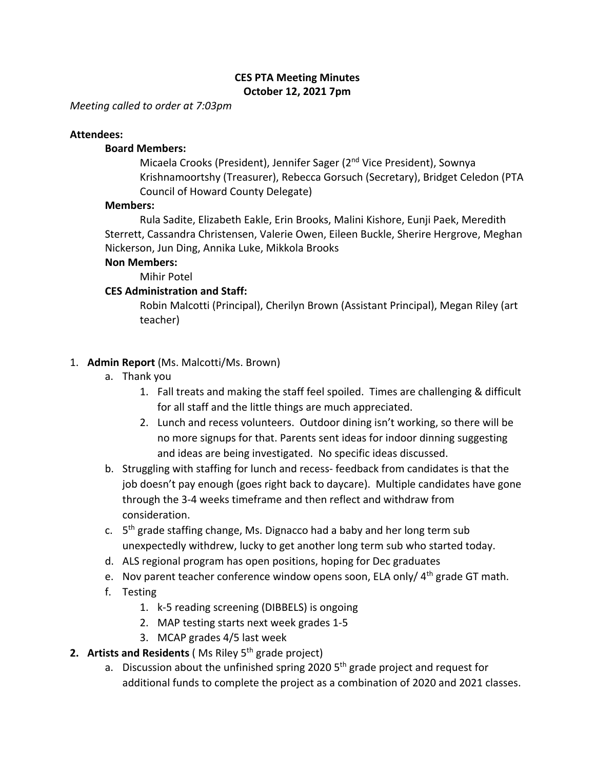## **CES PTA Meeting Minutes October 12, 2021 7pm**

*Meeting called to order at 7:03pm*

### **Attendees:**

### **Board Members:**

Micaela Crooks (President), Jennifer Sager (2nd Vice President), Sownya Krishnamoortshy (Treasurer), Rebecca Gorsuch (Secretary), Bridget Celedon (PTA Council of Howard County Delegate)

### **Members:**

Rula Sadite, Elizabeth Eakle, Erin Brooks, Malini Kishore, Eunji Paek, Meredith Sterrett, Cassandra Christensen, Valerie Owen, Eileen Buckle, Sherire Hergrove, Meghan Nickerson, Jun Ding, Annika Luke, Mikkola Brooks

### **Non Members:**

Mihir Potel

## **CES Administration and Staff:**

Robin Malcotti (Principal), Cherilyn Brown (Assistant Principal), Megan Riley (art teacher)

## 1. **Admin Report** (Ms. Malcotti/Ms. Brown)

- a. Thank you
	- 1. Fall treats and making the staff feel spoiled. Times are challenging & difficult for all staff and the little things are much appreciated.
	- 2. Lunch and recess volunteers. Outdoor dining isn't working, so there will be no more signups for that. Parents sent ideas for indoor dinning suggesting and ideas are being investigated. No specific ideas discussed.
- b. Struggling with staffing for lunch and recess- feedback from candidates is that the job doesn't pay enough (goes right back to daycare). Multiple candidates have gone through the 3-4 weeks timeframe and then reflect and withdraw from consideration.
- c.  $5<sup>th</sup>$  grade staffing change, Ms. Dignacco had a baby and her long term sub unexpectedly withdrew, lucky to get another long term sub who started today.
- d. ALS regional program has open positions, hoping for Dec graduates
- e. Nov parent teacher conference window opens soon, ELA only/  $4<sup>th</sup>$  grade GT math.
- f. Testing
	- 1. k-5 reading screening (DIBBELS) is ongoing
	- 2. MAP testing starts next week grades 1-5
	- 3. MCAP grades 4/5 last week
- **2. Artists and Residents (Ms Riley 5<sup>th</sup> grade project)** 
	- a. Discussion about the unfinished spring 2020  $5<sup>th</sup>$  grade project and request for additional funds to complete the project as a combination of 2020 and 2021 classes.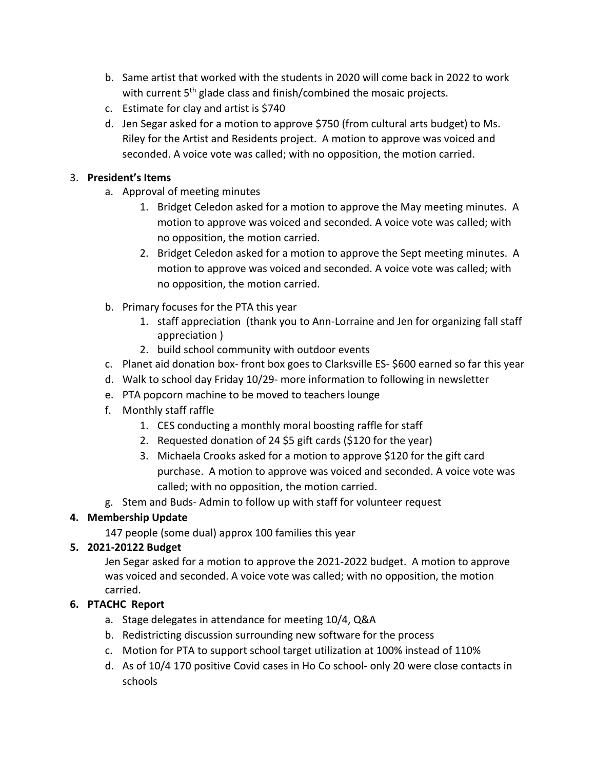- b. Same artist that worked with the students in 2020 will come back in 2022 to work with current 5<sup>th</sup> glade class and finish/combined the mosaic projects.
- c. Estimate for clay and artist is \$740
- d. Jen Segar asked for a motion to approve \$750 (from cultural arts budget) to Ms. Riley for the Artist and Residents project. A motion to approve was voiced and seconded. A voice vote was called; with no opposition, the motion carried.

## 3. **President's Items**

- a. Approval of meeting minutes
	- 1. Bridget Celedon asked for a motion to approve the May meeting minutes. A motion to approve was voiced and seconded. A voice vote was called; with no opposition, the motion carried.
	- 2. Bridget Celedon asked for a motion to approve the Sept meeting minutes. A motion to approve was voiced and seconded. A voice vote was called; with no opposition, the motion carried.
- b. Primary focuses for the PTA this year
	- 1. staff appreciation (thank you to Ann-Lorraine and Jen for organizing fall staff appreciation )
	- 2. build school community with outdoor events
- c. Planet aid donation box- front box goes to Clarksville ES- \$600 earned so far this year
- d. Walk to school day Friday 10/29- more information to following in newsletter
- e. PTA popcorn machine to be moved to teachers lounge
- f. Monthly staff raffle
	- 1. CES conducting a monthly moral boosting raffle for staff
	- 2. Requested donation of 24 \$5 gift cards (\$120 for the year)
	- 3. Michaela Crooks asked for a motion to approve \$120 for the gift card purchase. A motion to approve was voiced and seconded. A voice vote was called; with no opposition, the motion carried.
- g. Stem and Buds- Admin to follow up with staff for volunteer request

# **4. Membership Update**

147 people (some dual) approx 100 families this year

# **5. 2021-20122 Budget**

Jen Segar asked for a motion to approve the 2021-2022 budget. A motion to approve was voiced and seconded. A voice vote was called; with no opposition, the motion carried.

# **6. PTACHC Report**

- a. Stage delegates in attendance for meeting 10/4, Q&A
- b. Redistricting discussion surrounding new software for the process
- c. Motion for PTA to support school target utilization at 100% instead of 110%
- d. As of 10/4 170 positive Covid cases in Ho Co school- only 20 were close contacts in schools